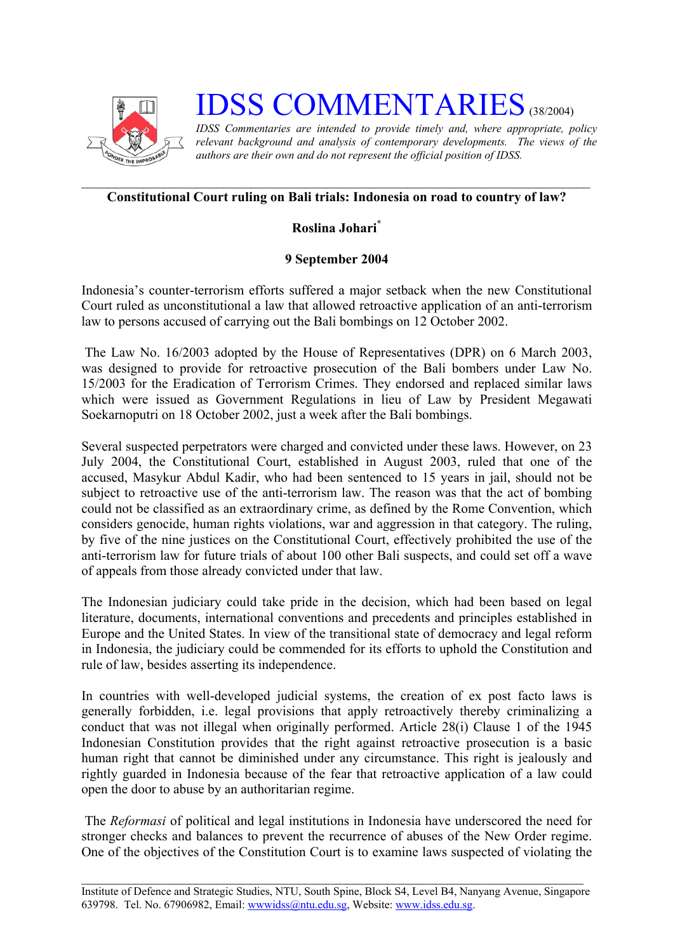

# **IDSS COMMENTARIES** (38/2004)

*IDSS Commentaries are intended to provide timely and, where appropriate, policy relevant background and analysis of contemporary developments. The views of the authors are their own and do not represent the official position of IDSS.* 

### **Constitutional Court ruling on Bali trials: Indonesia on road to country of law?**

## **Roslina Johari[\\*](#page-2-0)**

## **9 September 2004**

Indonesia's counter-terrorism efforts suffered a major setback when the new Constitutional Court ruled as unconstitutional a law that allowed retroactive application of an anti-terrorism law to persons accused of carrying out the Bali bombings on 12 October 2002.

The Law No. 16/2003 adopted by the House of Representatives (DPR) on 6 March 2003, was designed to provide for retroactive prosecution of the Bali bombers under Law No. 15/2003 for the Eradication of Terrorism Crimes. They endorsed and replaced similar laws which were issued as Government Regulations in lieu of Law by President Megawati Soekarnoputri on 18 October 2002, just a week after the Bali bombings.

Several suspected perpetrators were charged and convicted under these laws. However, on 23 July 2004, the Constitutional Court, established in August 2003, ruled that one of the accused, Masykur Abdul Kadir, who had been sentenced to 15 years in jail, should not be subject to retroactive use of the anti-terrorism law. The reason was that the act of bombing could not be classified as an extraordinary crime, as defined by the Rome Convention, which considers genocide, human rights violations, war and aggression in that category. The ruling, by five of the nine justices on the Constitutional Court, effectively prohibited the use of the anti-terrorism law for future trials of about 100 other Bali suspects, and could set off a wave of appeals from those already convicted under that law.

The Indonesian judiciary could take pride in the decision, which had been based on legal literature, documents, international conventions and precedents and principles established in Europe and the United States. In view of the transitional state of democracy and legal reform in Indonesia, the judiciary could be commended for its efforts to uphold the Constitution and rule of law, besides asserting its independence.

In countries with well-developed judicial systems, the creation of ex post facto laws is generally forbidden, i.e. legal provisions that apply retroactively thereby criminalizing a conduct that was not illegal when originally performed. Article 28(i) Clause 1 of the 1945 Indonesian Constitution provides that the right against retroactive prosecution is a basic human right that cannot be diminished under any circumstance. This right is jealously and rightly guarded in Indonesia because of the fear that retroactive application of a law could open the door to abuse by an authoritarian regime.

 The *Reformasi* of political and legal institutions in Indonesia have underscored the need for stronger checks and balances to prevent the recurrence of abuses of the New Order regime. One of the objectives of the Constitution Court is to examine laws suspected of violating the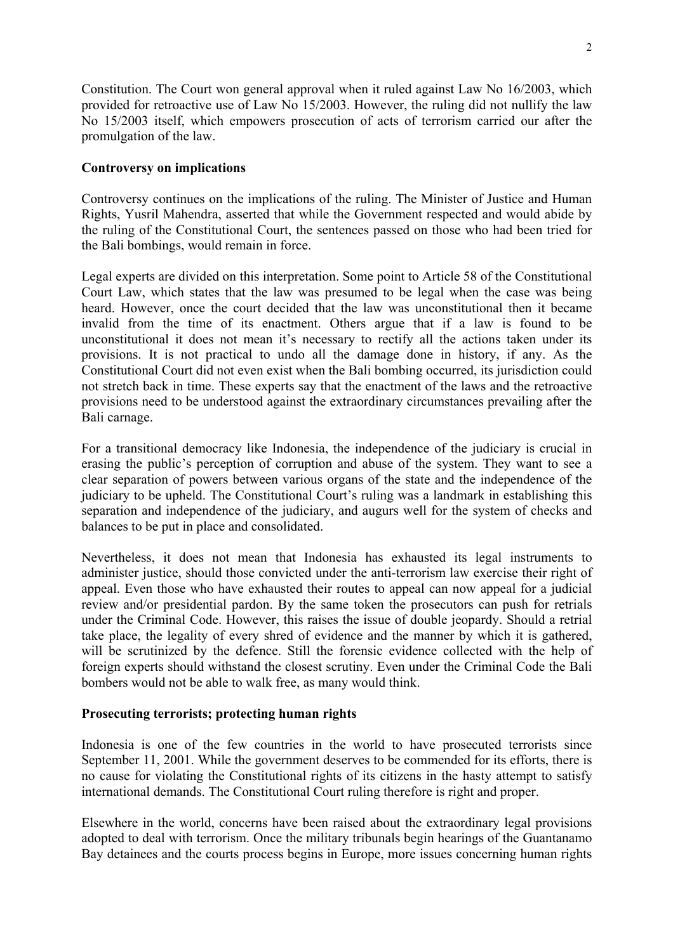Constitution. The Court won general approval when it ruled against Law No 16/2003, which provided for retroactive use of Law No 15/2003. However, the ruling did not nullify the law No 15/2003 itself, which empowers prosecution of acts of terrorism carried our after the promulgation of the law.

### **Controversy on implications**

Controversy continues on the implications of the ruling. The Minister of Justice and Human Rights, Yusril Mahendra, asserted that while the Government respected and would abide by the ruling of the Constitutional Court, the sentences passed on those who had been tried for the Bali bombings, would remain in force.

Legal experts are divided on this interpretation. Some point to Article 58 of the Constitutional Court Law, which states that the law was presumed to be legal when the case was being heard. However, once the court decided that the law was unconstitutional then it became invalid from the time of its enactment. Others argue that if a law is found to be unconstitutional it does not mean it's necessary to rectify all the actions taken under its provisions. It is not practical to undo all the damage done in history, if any. As the Constitutional Court did not even exist when the Bali bombing occurred, its jurisdiction could not stretch back in time. These experts say that the enactment of the laws and the retroactive provisions need to be understood against the extraordinary circumstances prevailing after the Bali carnage.

For a transitional democracy like Indonesia, the independence of the judiciary is crucial in erasing the public's perception of corruption and abuse of the system. They want to see a clear separation of powers between various organs of the state and the independence of the judiciary to be upheld. The Constitutional Court's ruling was a landmark in establishing this separation and independence of the judiciary, and augurs well for the system of checks and balances to be put in place and consolidated.

Nevertheless, it does not mean that Indonesia has exhausted its legal instruments to administer justice, should those convicted under the anti-terrorism law exercise their right of appeal. Even those who have exhausted their routes to appeal can now appeal for a judicial review and/or presidential pardon. By the same token the prosecutors can push for retrials under the Criminal Code. However, this raises the issue of double jeopardy. Should a retrial take place, the legality of every shred of evidence and the manner by which it is gathered, will be scrutinized by the defence. Still the forensic evidence collected with the help of foreign experts should withstand the closest scrutiny. Even under the Criminal Code the Bali bombers would not be able to walk free, as many would think.

#### **Prosecuting terrorists; protecting human rights**

Indonesia is one of the few countries in the world to have prosecuted terrorists since September 11, 2001. While the government deserves to be commended for its efforts, there is no cause for violating the Constitutional rights of its citizens in the hasty attempt to satisfy international demands. The Constitutional Court ruling therefore is right and proper.

Elsewhere in the world, concerns have been raised about the extraordinary legal provisions adopted to deal with terrorism. Once the military tribunals begin hearings of the Guantanamo Bay detainees and the courts process begins in Europe, more issues concerning human rights